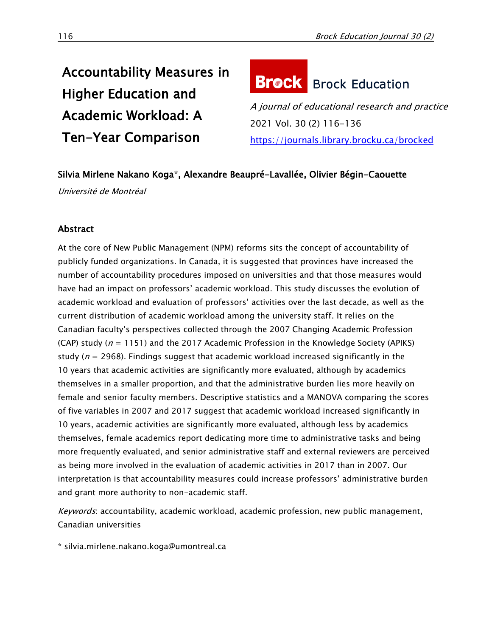# Accountability Measures in Higher Education and Academic Workload: A Ten-Year Comparison

# **Brock** Brock Education

A journal of educational research and practice 2021 Vol. 30 (2) 116-136 <https://journals.library.brocku.ca/brocked>

# Silvia Mirlene Nakano Koga\*, Alexandre Beaupré-Lavallée, Olivier Bégin-Caouette

Université de Montréal

## Abstract

At the core of New Public Management (NPM) reforms sits the concept of accountability of publicly funded organizations. In Canada, it is suggested that provinces have increased the number of accountability procedures imposed on universities and that those measures would have had an impact on professors' academic workload. This study discusses the evolution of academic workload and evaluation of professors' activities over the last decade, as well as the current distribution of academic workload among the university staff. It relies on the Canadian faculty's perspectives collected through the 2007 Changing Academic Profession (CAP) study ( $n = 1151$ ) and the 2017 Academic Profession in the Knowledge Society (APIKS) study ( $n = 2968$ ). Findings suggest that academic workload increased significantly in the 10 years that academic activities are significantly more evaluated, although by academics themselves in a smaller proportion, and that the administrative burden lies more heavily on female and senior faculty members. Descriptive statistics and a MANOVA comparing the scores of five variables in 2007 and 2017 suggest that academic workload increased significantly in 10 years, academic activities are significantly more evaluated, although less by academics themselves, female academics report dedicating more time to administrative tasks and being more frequently evaluated, and senior administrative staff and external reviewers are perceived as being more involved in the evaluation of academic activities in 2017 than in 2007. Our interpretation is that accountability measures could increase professors' administrative burden and grant more authority to non-academic staff.

Keywords: accountability, academic workload, academic profession, new public management, Canadian universities

\* [silvia.mirlene.nakano.koga@umontreal.ca](file:///E:/silvia.mirlene.nakano.koga@umontreal.ca)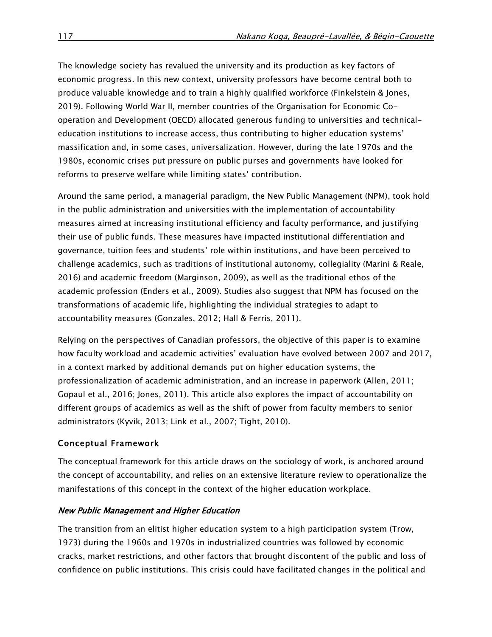The knowledge society has revalued the university and its production as key factors of economic progress. In this new context, university professors have become central both to produce valuable knowledge and to train a highly qualified workforce (Finkelstein & Jones, 2019). Following World War II, member countries of the Organisation for Economic Cooperation and Development (OECD) allocated generous funding to universities and technicaleducation institutions to increase access, thus contributing to higher education systems' massification and, in some cases, universalization. However, during the late 1970s and the 1980s, economic crises put pressure on public purses and governments have looked for reforms to preserve welfare while limiting states' contribution.

Around the same period, a managerial paradigm, the New Public Management (NPM), took hold in the public administration and universities with the implementation of accountability measures aimed at increasing institutional efficiency and faculty performance, and justifying their use of public funds. These measures have impacted institutional differentiation and governance, tuition fees and students' role within institutions, and have been perceived to challenge academics, such as traditions of institutional autonomy, collegiality (Marini & Reale, 2016) and academic freedom (Marginson, 2009), as well as the traditional ethos of the academic profession (Enders et al., 2009). Studies also suggest that NPM has focused on the transformations of academic life, highlighting the individual strategies to adapt to accountability measures (Gonzales, 2012; Hall & Ferris, 2011).

Relying on the perspectives of Canadian professors, the objective of this paper is to examine how faculty workload and academic activities' evaluation have evolved between 2007 and 2017, in a context marked by additional demands put on higher education systems, the professionalization of academic administration, and an increase in paperwork (Allen, 2011; Gopaul et al., 2016; Jones, 2011). This article also explores the impact of accountability on different groups of academics as well as the shift of power from faculty members to senior administrators (Kyvik, 2013; Link et al., 2007; Tight, 2010).

## Conceptual Framework

The conceptual framework for this article draws on the sociology of work, is anchored around the concept of accountability, and relies on an extensive literature review to operationalize the manifestations of this concept in the context of the higher education workplace.

## New Public Management and Higher Education

The transition from an elitist higher education system to a high participation system (Trow, 1973) during the 1960s and 1970s in industrialized countries was followed by economic cracks, market restrictions, and other factors that brought discontent of the public and loss of confidence on public institutions. This crisis could have facilitated changes in the political and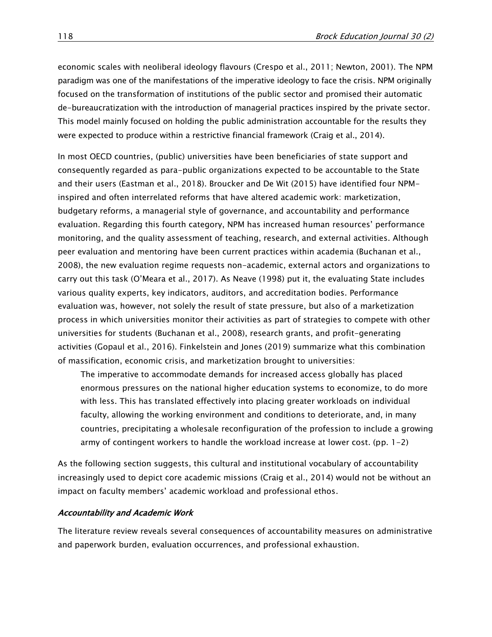economic scales with neoliberal ideology flavours (Crespo et al., 2011; Newton, 2001). The NPM paradigm was one of the manifestations of the imperative ideology to face the crisis. NPM originally focused on the transformation of institutions of the public sector and promised their automatic de-bureaucratization with the introduction of managerial practices inspired by the private sector. This model mainly focused on holding the public administration accountable for the results they were expected to produce within a restrictive financial framework (Craig et al., 2014).

In most OECD countries, (public) universities have been beneficiaries of state support and consequently regarded as para-public organizations expected to be accountable to the State and their users (Eastman et al., 2018). Broucker and De Wit (2015) have identified four NPMinspired and often interrelated reforms that have altered academic work: marketization, budgetary reforms, a managerial style of governance, and accountability and performance evaluation. Regarding this fourth category, NPM has increased human resources' performance monitoring, and the quality assessment of teaching, research, and external activities. Although peer evaluation and mentoring have been current practices within academia (Buchanan et al., 2008), the new evaluation regime requests non-academic, external actors and organizations to carry out this task (O'Meara et al., 2017). As Neave (1998) put it, the evaluating State includes various quality experts, key indicators, auditors, and accreditation bodies. Performance evaluation was, however, not solely the result of state pressure, but also of a marketization process in which universities monitor their activities as part of strategies to compete with other universities for students (Buchanan et al., 2008), research grants, and profit-generating activities (Gopaul et al., 2016). Finkelstein and Jones (2019) summarize what this combination of massification, economic crisis, and marketization brought to universities:

The imperative to accommodate demands for increased access globally has placed enormous pressures on the national higher education systems to economize, to do more with less. This has translated effectively into placing greater workloads on individual faculty, allowing the working environment and conditions to deteriorate, and, in many countries, precipitating a wholesale reconfiguration of the profession to include a growing army of contingent workers to handle the workload increase at lower cost. (pp.  $1-2$ )

As the following section suggests, this cultural and institutional vocabulary of accountability increasingly used to depict core academic missions (Craig et al., 2014) would not be without an impact on faculty members' academic workload and professional ethos.

#### Accountability and Academic Work

The literature review reveals several consequences of accountability measures on administrative and paperwork burden, evaluation occurrences, and professional exhaustion.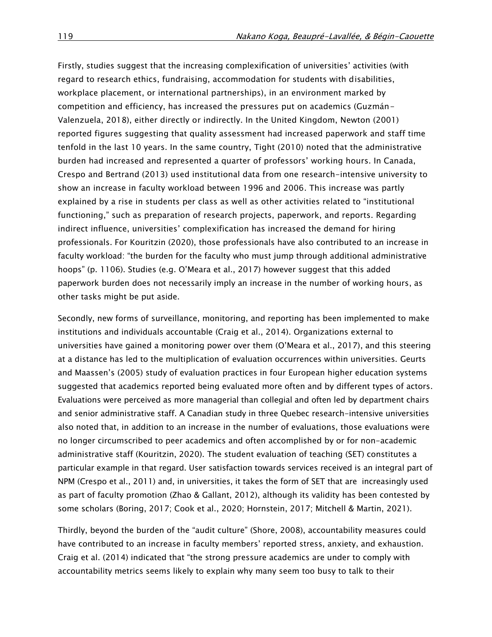Firstly, studies suggest that the increasing complexification of universities' activities (with regard to research ethics, fundraising, accommodation for students with disabilities, workplace placement, or international partnerships), in an environment marked by competition and efficiency, has increased the pressures put on academics (Guzmán-Valenzuela, 2018), either directly or indirectly. In the United Kingdom, Newton (2001) reported figures suggesting that quality assessment had increased paperwork and staff time tenfold in the last 10 years. In the same country, Tight (2010) noted that the administrative burden had increased and represented a quarter of professors' working hours. In Canada, Crespo and Bertrand (2013) used institutional data from one research-intensive university to show an increase in faculty workload between 1996 and 2006. This increase was partly explained by a rise in students per class as well as other activities related to "institutional functioning," such as preparation of research projects, paperwork, and reports. Regarding indirect influence, universities' complexification has increased the demand for hiring professionals. For Kouritzin (2020), those professionals have also contributed to an increase in faculty workload: "the burden for the faculty who must jump through additional administrative hoops" (p. 1106). Studies (e.g. O'Meara et al., 2017) however suggest that this added paperwork burden does not necessarily imply an increase in the number of working hours, as other tasks might be put aside.

Secondly, new forms of surveillance, monitoring, and reporting has been implemented to make institutions and individuals accountable (Craig et al., 2014). Organizations external to universities have gained a monitoring power over them (O'Meara et al., 2017), and this steering at a distance has led to the multiplication of evaluation occurrences within universities. Geurts and Maassen's (2005) study of evaluation practices in four European higher education systems suggested that academics reported being evaluated more often and by different types of actors. Evaluations were perceived as more managerial than collegial and often led by department chairs and senior administrative staff. A Canadian study in three Quebec research-intensive universities also noted that, in addition to an increase in the number of evaluations, those evaluations were no longer circumscribed to peer academics and often accomplished by or for non-academic administrative staff (Kouritzin, 2020). The student evaluation of teaching (SET) constitutes a particular example in that regard. User satisfaction towards services received is an integral part of NPM (Crespo et al., 2011) and, in universities, it takes the form of SET that are increasingly used as part of faculty promotion (Zhao & Gallant, 2012), although its validity has been contested by some scholars (Boring, 2017; Cook et al., 2020; Hornstein, 2017; Mitchell & Martin, 2021).

Thirdly, beyond the burden of the "audit culture" (Shore, 2008), accountability measures could have contributed to an increase in faculty members' reported stress, anxiety, and exhaustion. Craig et al. (2014) indicated that "the strong pressure academics are under to comply with accountability metrics seems likely to explain why many seem too busy to talk to their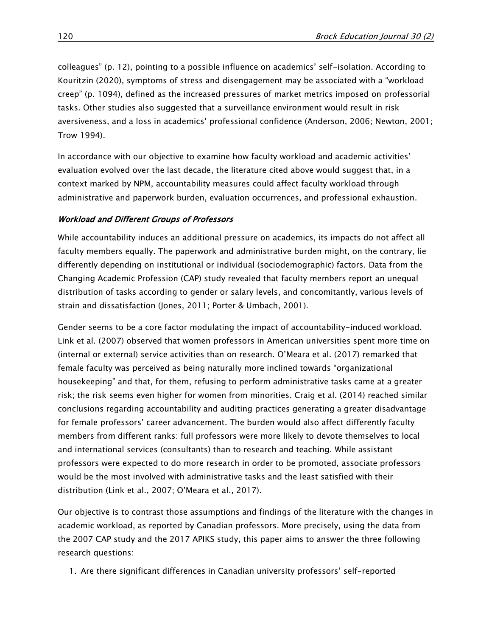colleagues" (p. 12), pointing to a possible influence on academics' self-isolation. According to Kouritzin (2020), symptoms of stress and disengagement may be associated with a "workload creep" (p. 1094), defined as the increased pressures of market metrics imposed on professorial tasks. Other studies also suggested that a surveillance environment would result in risk aversiveness, and a loss in academics' professional confidence (Anderson, 2006; Newton, 2001; Trow 1994).

In accordance with our objective to examine how faculty workload and academic activities' evaluation evolved over the last decade, the literature cited above would suggest that, in a context marked by NPM, accountability measures could affect faculty workload through administrative and paperwork burden, evaluation occurrences, and professional exhaustion.

## Workload and Different Groups of Professors

While accountability induces an additional pressure on academics, its impacts do not affect all faculty members equally. The paperwork and administrative burden might, on the contrary, lie differently depending on institutional or individual (sociodemographic) factors. Data from the Changing Academic Profession (CAP) study revealed that faculty members report an unequal distribution of tasks according to gender or salary levels, and concomitantly, various levels of strain and dissatisfaction (Jones, 2011; Porter & Umbach, 2001).

Gender seems to be a core factor modulating the impact of accountability-induced workload. Link et al. (2007) observed that women professors in American universities spent more time on (internal or external) service activities than on research. O'Meara et al. (2017) remarked that female faculty was perceived as being naturally more inclined towards "organizational housekeeping" and that, for them, refusing to perform administrative tasks came at a greater risk; the risk seems even higher for women from minorities. Craig et al. (2014) reached similar conclusions regarding accountability and auditing practices generating a greater disadvantage for female professors' career advancement. The burden would also affect differently faculty members from different ranks: full professors were more likely to devote themselves to local and international services (consultants) than to research and teaching. While assistant professors were expected to do more research in order to be promoted, associate professors would be the most involved with administrative tasks and the least satisfied with their distribution (Link et al., 2007; O'Meara et al., 2017).

Our objective is to contrast those assumptions and findings of the literature with the changes in academic workload, as reported by Canadian professors. More precisely, using the data from the 2007 CAP study and the 2017 APIKS study, this paper aims to answer the three following research questions:

1. Are there significant differences in Canadian university professors' self-reported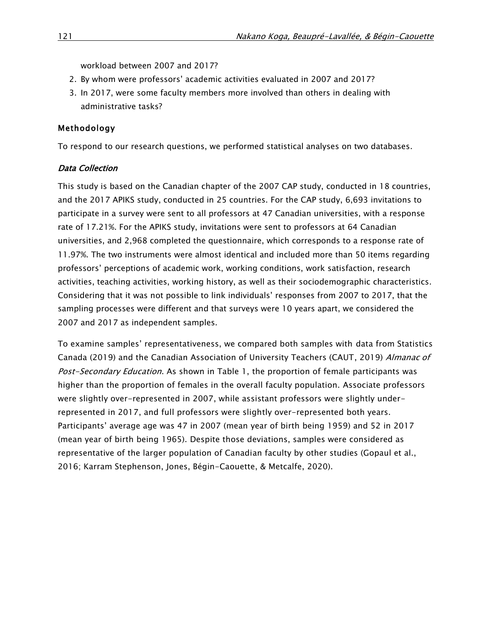workload between 2007 and 2017?

- 2. By whom were professors' academic activities evaluated in 2007 and 2017?
- 3. In 2017, were some faculty members more involved than others in dealing with administrative tasks?

## Methodology

To respond to our research questions, we performed statistical analyses on two databases.

## Data Collection

This study is based on the Canadian chapter of the 2007 CAP study, conducted in 18 countries, and the 2017 APIKS study, conducted in 25 countries. For the CAP study, 6,693 invitations to participate in a survey were sent to all professors at 47 Canadian universities, with a response rate of 17.21%. For the APIKS study, invitations were sent to professors at 64 Canadian universities, and 2,968 completed the questionnaire, which corresponds to a response rate of 11.97%. The two instruments were almost identical and included more than 50 items regarding professors' perceptions of academic work, working conditions, work satisfaction, research activities, teaching activities, working history, as well as their sociodemographic characteristics. Considering that it was not possible to link individuals' responses from 2007 to 2017, that the sampling processes were different and that surveys were 10 years apart, we considered the 2007 and 2017 as independent samples.

To examine samples' representativeness, we compared both samples with data from Statistics Canada (2019) and the Canadian Association of University Teachers (CAUT, 2019) Almanac of Post-Secondary Education. As shown in Table 1, the proportion of female participants was higher than the proportion of females in the overall faculty population. Associate professors were slightly over-represented in 2007, while assistant professors were slightly underrepresented in 2017, and full professors were slightly over-represented both years. Participants' average age was 47 in 2007 (mean year of birth being 1959) and 52 in 2017 (mean year of birth being 1965). Despite those deviations, samples were considered as representative of the larger population of Canadian faculty by other studies (Gopaul et al., 2016; Karram Stephenson, Jones, Bégin-Caouette, & Metcalfe, 2020).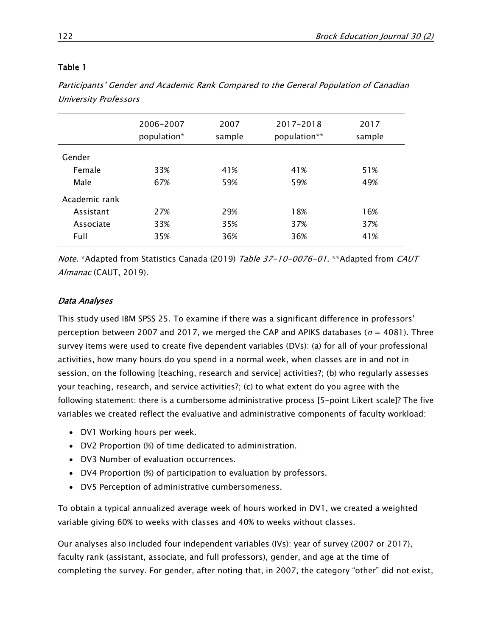Participants' Gender and Academic Rank Compared to the General Population of Canadian University Professors

|               | 2006-2007<br>population* | 2007<br>sample | 2017-2018<br>population** | 2017<br>sample |
|---------------|--------------------------|----------------|---------------------------|----------------|
| Gender        |                          |                |                           |                |
| Female        | 33%                      | 41%            | 41%                       | 51%            |
| Male          | 67%                      | 59%            | 59%                       | 49%            |
| Academic rank |                          |                |                           |                |
| Assistant     | 27%                      | 29%            | 18%                       | 16%            |
| Associate     | 33%                      | 35%            | 37%                       | 37%            |
| Full          | 35%                      | 36%            | 36%                       | 41%            |

Note. \*Adapted from Statistics Canada (2019) Table 37-10-0076-01. \*\*Adapted from CAUT Almanac (CAUT, 2019).

## Data Analyses

This study used IBM SPSS 25. To examine if there was a significant difference in professors' perception between 2007 and 2017, we merged the CAP and APIKS databases ( $n = 4081$ ). Three survey items were used to create five dependent variables (DVs): (a) for all of your professional activities, how many hours do you spend in a normal week, when classes are in and not in session, on the following [teaching, research and service] activities?; (b) who regularly assesses your teaching, research, and service activities?; (c) to what extent do you agree with the following statement: there is a cumbersome administrative process [5-point Likert scale]? The five variables we created reflect the evaluative and administrative components of faculty workload:

- DV1 Working hours per week.
- DV2 Proportion (%) of time dedicated to administration.
- DV3 Number of evaluation occurrences.
- DV4 Proportion (%) of participation to evaluation by professors.
- DV5 Perception of administrative cumbersomeness.

To obtain a typical annualized average week of hours worked in DV1, we created a weighted variable giving 60% to weeks with classes and 40% to weeks without classes.

Our analyses also included four independent variables (IVs): year of survey (2007 or 2017), faculty rank (assistant, associate, and full professors), gender, and age at the time of completing the survey. For gender, after noting that, in 2007, the category "other" did not exist,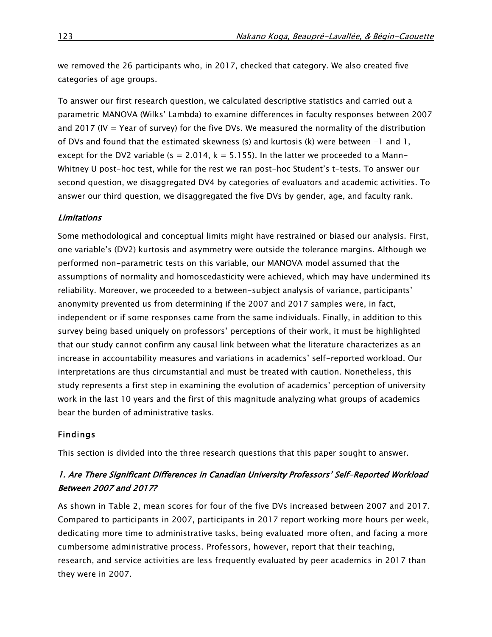we removed the 26 participants who, in 2017, checked that category. We also created five categories of age groups.

To answer our first research question, we calculated descriptive statistics and carried out a parametric MANOVA (Wilks' Lambda) to examine differences in faculty responses between 2007 and 2017 (IV = Year of survey) for the five DVs. We measured the normality of the distribution of DVs and found that the estimated skewness (s) and kurtosis (k) were between  $-1$  and  $1$ , except for the DV2 variable ( $s = 2.014$ ,  $k = 5.155$ ). In the latter we proceeded to a Mann-Whitney U post-hoc test, while for the rest we ran post-hoc Student's t-tests. To answer our second question, we disaggregated DV4 by categories of evaluators and academic activities. To answer our third question, we disaggregated the five DVs by gender, age, and faculty rank.

## **Limitations**

Some methodological and conceptual limits might have restrained or biased our analysis. First, one variable's (DV2) kurtosis and asymmetry were outside the tolerance margins. Although we performed non-parametric tests on this variable, our MANOVA model assumed that the assumptions of normality and homoscedasticity were achieved, which may have undermined its reliability. Moreover, we proceeded to a between-subject analysis of variance, participants' anonymity prevented us from determining if the 2007 and 2017 samples were, in fact, independent or if some responses came from the same individuals. Finally, in addition to this survey being based uniquely on professors' perceptions of their work, it must be highlighted that our study cannot confirm any causal link between what the literature characterizes as an increase in accountability measures and variations in academics' self-reported workload. Our interpretations are thus circumstantial and must be treated with caution. Nonetheless, this study represents a first step in examining the evolution of academics' perception of university work in the last 10 years and the first of this magnitude analyzing what groups of academics bear the burden of administrative tasks.

### Findings

This section is divided into the three research questions that this paper sought to answer.

# 1. Are There Significant Differences in Canadian University Professors' Self-Reported Workload Between 2007 and 2017?

As shown in Table 2, mean scores for four of the five DVs increased between 2007 and 2017. Compared to participants in 2007, participants in 2017 report working more hours per week, dedicating more time to administrative tasks, being evaluated more often, and facing a more cumbersome administrative process. Professors, however, report that their teaching, research, and service activities are less frequently evaluated by peer academics in 2017 than they were in 2007.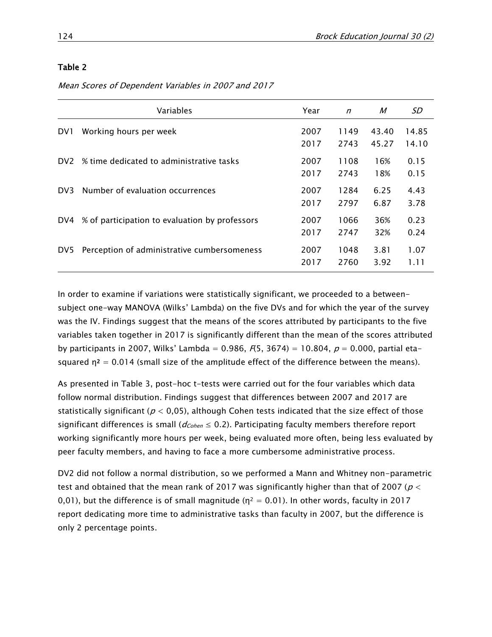Mean Scores of Dependent Variables in 2007 and 2017

|                 | Variables                                      | Year         | $\mathsf{n}$ | M              | SD             |
|-----------------|------------------------------------------------|--------------|--------------|----------------|----------------|
| DV1             | Working hours per week                         | 2007<br>2017 | 1149<br>2743 | 43.40<br>45.27 | 14.85<br>14.10 |
| DV <sub>2</sub> | % time dedicated to administrative tasks       | 2007<br>2017 | 1108<br>2743 | 16%<br>18%     | 0.15<br>0.15   |
| DV <sub>3</sub> | Number of evaluation occurrences               | 2007<br>2017 | 1284<br>2797 | 6.25<br>6.87   | 4.43<br>3.78   |
| DV4             | % of participation to evaluation by professors | 2007<br>2017 | 1066<br>2747 | 36%<br>32%     | 0.23<br>0.24   |
| DV <sub>5</sub> | Perception of administrative cumbersomeness    | 2007<br>2017 | 1048<br>2760 | 3.81<br>3.92   | 1.07<br>1.11   |

In order to examine if variations were statistically significant, we proceeded to a betweensubject one-way MANOVA (Wilks' Lambda) on the five DVs and for which the year of the survey was the IV. Findings suggest that the means of the scores attributed by participants to the five variables taken together in 2017 is significantly different than the mean of the scores attributed by participants in 2007, Wilks' Lambda = 0.986,  $F(5, 3674) = 10.804$ ,  $p = 0.000$ , partial etasquared  $\eta^2 = 0.014$  (small size of the amplitude effect of the difference between the means).

As presented in Table 3, post-hoc t-tests were carried out for the four variables which data follow normal distribution. Findings suggest that differences between 2007 and 2017 are statistically significant ( $p < 0.05$ ), although Cohen tests indicated that the size effect of those significant differences is small ( $d_{Cohen} \leq 0.2$ ). Participating faculty members therefore report working significantly more hours per week, being evaluated more often, being less evaluated by peer faculty members, and having to face a more cumbersome administrative process.

DV2 did not follow a normal distribution, so we performed a Mann and Whitney non-parametric test and obtained that the mean rank of 2017 was significantly higher than that of 2007 ( $p <$ 0,01), but the difference is of small magnitude ( $\eta^2 = 0.01$ ). In other words, faculty in 2017 report dedicating more time to administrative tasks than faculty in 2007, but the difference is only 2 percentage points.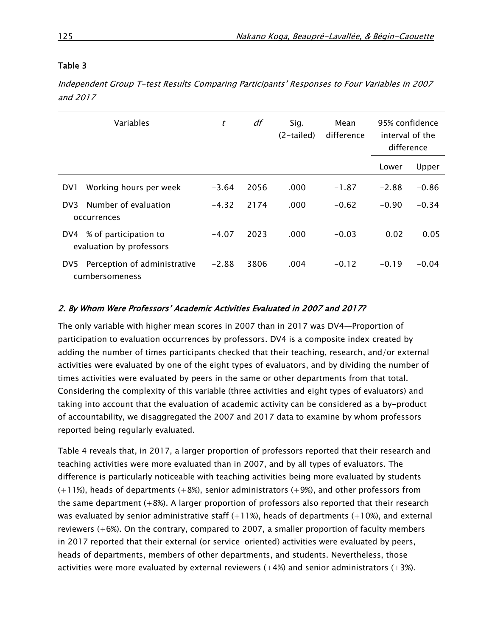Independent Group T-test Results Comparing Participants' Responses to Four Variables in 2007 and 2017

|      | Variables                                         | t       | df   | Mean<br>Sig.<br>difference<br>$(2-tailed)$ |         | 95% confidence<br>interval of the<br>difference |         |
|------|---------------------------------------------------|---------|------|--------------------------------------------|---------|-------------------------------------------------|---------|
|      |                                                   |         |      |                                            |         | Lower                                           | Upper   |
| DV1  | Working hours per week                            | $-3.64$ | 2056 | .000                                       | $-1.87$ | $-2.88$                                         | $-0.86$ |
| DV3. | Number of evaluation<br>occurrences               | $-4.32$ | 2174 | .000                                       | $-0.62$ | $-0.90$                                         | $-0.34$ |
| DV4  | % of participation to<br>evaluation by professors | $-4.07$ | 2023 | .000                                       | $-0.03$ | 0.02                                            | 0.05    |
| DV5  | Perception of administrative<br>cumbersomeness    | $-2.88$ | 3806 | .004                                       | $-0.12$ | $-0.19$                                         | $-0.04$ |

## 2. By Whom Were Professors' Academic Activities Evaluated in 2007 and 2017?

The only variable with higher mean scores in 2007 than in 2017 was DV4—Proportion of participation to evaluation occurrences by professors. DV4 is a composite index created by adding the number of times participants checked that their teaching, research, and/or external activities were evaluated by one of the eight types of evaluators, and by dividing the number of times activities were evaluated by peers in the same or other departments from that total. Considering the complexity of this variable (three activities and eight types of evaluators) and taking into account that the evaluation of academic activity can be considered as a by-product of accountability, we disaggregated the 2007 and 2017 data to examine by whom professors reported being regularly evaluated.

Table 4 reveals that, in 2017, a larger proportion of professors reported that their research and teaching activities were more evaluated than in 2007, and by all types of evaluators. The difference is particularly noticeable with teaching activities being more evaluated by students (+11%), heads of departments (+8%), senior administrators (+9%), and other professors from the same department  $(+8%)$ . A larger proportion of professors also reported that their research was evaluated by senior administrative staff  $(+11%)$ , heads of departments  $(+10%)$ , and external reviewers (+6%). On the contrary, compared to 2007, a smaller proportion of faculty members in 2017 reported that their external (or service-oriented) activities were evaluated by peers, heads of departments, members of other departments, and students. Nevertheless, those activities were more evaluated by external reviewers  $(+4%)$  and senior administrators  $(+3%)$ .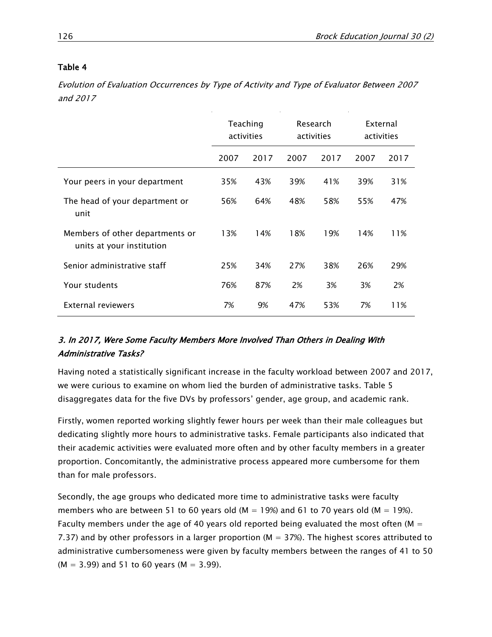Evolution of Evaluation Occurrences by Type of Activity and Type of Evaluator Between 2007 and 2017

|                                                              | Teaching<br>activities |      | Research<br>activities |      | External<br>activities |      |
|--------------------------------------------------------------|------------------------|------|------------------------|------|------------------------|------|
|                                                              | 2007                   | 2017 | 2007                   | 2017 | 2007                   | 2017 |
| Your peers in your department                                | 35%                    | 43%  | 39%                    | 41%  | 39%                    | 31%  |
| The head of your department or<br>unit                       | 56%                    | 64%  | 48%                    | 58%  | 55%                    | 47%  |
| Members of other departments or<br>units at your institution | 13%                    | 14%  | 18%                    | 19%  | 14%                    | 11%  |
| Senior administrative staff                                  | 25%                    | 34%  | 27%                    | 38%  | 26%                    | 29%  |
| Your students                                                | 76%                    | 87%  | 2%                     | 3%   | 3%                     | 2%   |
| External reviewers                                           | 7%                     | 9%   | 47%                    | 53%  | 7%                     | 11%  |

# 3. In 2017, Were Some Faculty Members More Involved Than Others in Dealing With Administrative Tasks?

Having noted a statistically significant increase in the faculty workload between 2007 and 2017, we were curious to examine on whom lied the burden of administrative tasks. Table 5 disaggregates data for the five DVs by professors' gender, age group, and academic rank.

Firstly, women reported working slightly fewer hours per week than their male colleagues but dedicating slightly more hours to administrative tasks. Female participants also indicated that their academic activities were evaluated more often and by other faculty members in a greater proportion. Concomitantly, the administrative process appeared more cumbersome for them than for male professors.

Secondly, the age groups who dedicated more time to administrative tasks were faculty members who are between 51 to 60 years old (M = 19%) and 61 to 70 years old (M = 19%). Faculty members under the age of 40 years old reported being evaluated the most often ( $M =$ 7.37) and by other professors in a larger proportion ( $M = 37\%$ ). The highest scores attributed to administrative cumbersomeness were given by faculty members between the ranges of 41 to 50  $(M = 3.99)$  and 51 to 60 years  $(M = 3.99)$ .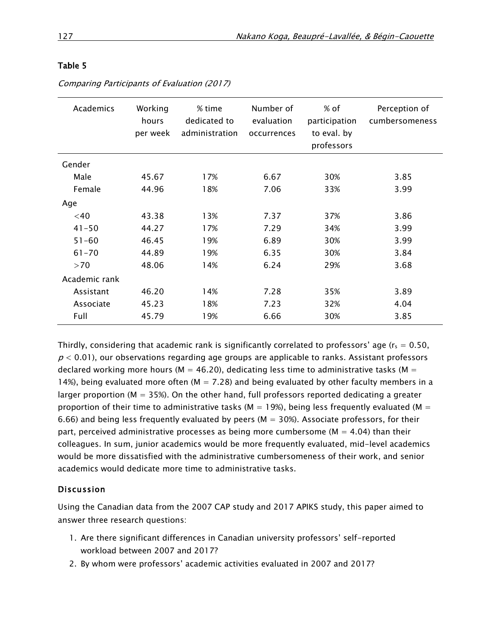| Academics     | Working<br>hours<br>per week | % time<br>dedicated to<br>administration | Number of<br>evaluation<br>occurrences | % of<br>participation<br>to eval. by<br>professors | Perception of<br>cumbersomeness |
|---------------|------------------------------|------------------------------------------|----------------------------------------|----------------------------------------------------|---------------------------------|
| Gender        |                              |                                          |                                        |                                                    |                                 |
| Male          | 45.67                        | 17%                                      | 6.67                                   | 30%                                                | 3.85                            |
| Female        | 44.96                        | 18%                                      | 7.06                                   | 33%                                                | 3.99                            |
| Age           |                              |                                          |                                        |                                                    |                                 |
| $<$ 40        | 43.38                        | 13%                                      | 7.37                                   | 37%                                                | 3.86                            |
| $41 - 50$     | 44.27                        | 17%                                      | 7.29                                   | 34%                                                | 3.99                            |
| $51 - 60$     | 46.45                        | 19%                                      | 6.89                                   | 30%                                                | 3.99                            |
| $61 - 70$     | 44.89                        | 19%                                      | 6.35                                   | 30%                                                | 3.84                            |
| >70           | 48.06                        | 14%                                      | 6.24                                   | 29%                                                | 3.68                            |
| Academic rank |                              |                                          |                                        |                                                    |                                 |
| Assistant     | 46.20                        | 14%                                      | 7.28                                   | 35%                                                | 3.89                            |
| Associate     | 45.23                        | 18%                                      | 7.23                                   | 32%                                                | 4.04                            |
| Full          | 45.79                        | 19%                                      | 6.66                                   | 30%                                                | 3.85                            |

Comparing Participants of Evaluation (2017)

Thirdly, considering that academic rank is significantly correlated to professors' age ( $r_s = 0.50$ ,  $p < 0.01$ ), our observations regarding age groups are applicable to ranks. Assistant professors declared working more hours ( $M = 46.20$ ), dedicating less time to administrative tasks ( $M =$ 14%), being evaluated more often ( $M = 7.28$ ) and being evaluated by other faculty members in a larger proportion ( $M = 35\%$ ). On the other hand, full professors reported dedicating a greater proportion of their time to administrative tasks ( $M = 19\%$ ), being less frequently evaluated ( $M =$ 6.66) and being less frequently evaluated by peers ( $M = 30\%$ ). Associate professors, for their part, perceived administrative processes as being more cumbersome ( $M = 4.04$ ) than their colleagues. In sum, junior academics would be more frequently evaluated, mid-level academics would be more dissatisfied with the administrative cumbersomeness of their work, and senior academics would dedicate more time to administrative tasks.

## Discussion

Using the Canadian data from the 2007 CAP study and 2017 APIKS study, this paper aimed to answer three research questions:

- 1. Are there significant differences in Canadian university professors' self-reported workload between 2007 and 2017?
- 2. By whom were professors' academic activities evaluated in 2007 and 2017?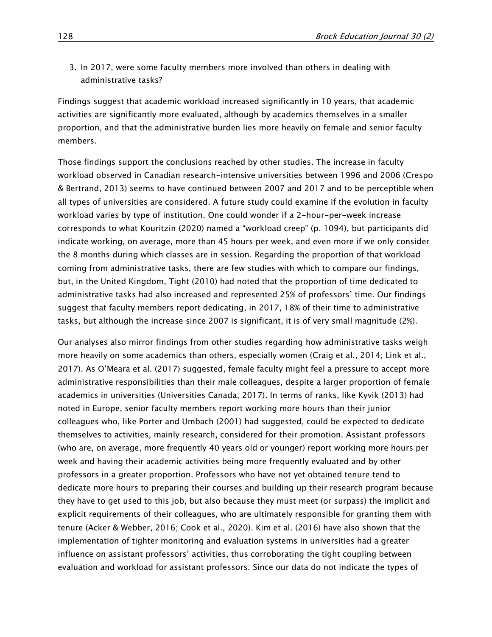3. In 2017, were some faculty members more involved than others in dealing with administrative tasks?

Findings suggest that academic workload increased significantly in 10 years, that academic activities are significantly more evaluated, although by academics themselves in a smaller proportion, and that the administrative burden lies more heavily on female and senior faculty members.

Those findings support the conclusions reached by other studies. The increase in faculty workload observed in Canadian research-intensive universities between 1996 and 2006 (Crespo & Bertrand, 2013) seems to have continued between 2007 and 2017 and to be perceptible when all types of universities are considered. A future study could examine if the evolution in faculty workload varies by type of institution. One could wonder if a 2-hour-per-week increase corresponds to what Kouritzin (2020) named a "workload creep" (p. 1094), but participants did indicate working, on average, more than 45 hours per week, and even more if we only consider the 8 months during which classes are in session. Regarding the proportion of that workload coming from administrative tasks, there are few studies with which to compare our findings, but, in the United Kingdom, Tight (2010) had noted that the proportion of time dedicated to administrative tasks had also increased and represented 25% of professors' time. Our findings suggest that faculty members report dedicating, in 2017, 18% of their time to administrative tasks, but although the increase since 2007 is significant, it is of very small magnitude (2%).

Our analyses also mirror findings from other studies regarding how administrative tasks weigh more heavily on some academics than others, especially women (Craig et al., 2014; Link et al., 2017). As O'Meara et al. (2017) suggested, female faculty might feel a pressure to accept more administrative responsibilities than their male colleagues, despite a larger proportion of female academics in universities (Universities Canada, 2017). In terms of ranks, like Kyvik (2013) had noted in Europe, senior faculty members report working more hours than their junior colleagues who, like Porter and Umbach (2001) had suggested, could be expected to dedicate themselves to activities, mainly research, considered for their promotion. Assistant professors (who are, on average, more frequently 40 years old or younger) report working more hours per week and having their academic activities being more frequently evaluated and by other professors in a greater proportion. Professors who have not yet obtained tenure tend to dedicate more hours to preparing their courses and building up their research program because they have to get used to this job, but also because they must meet (or surpass) the implicit and explicit requirements of their colleagues, who are ultimately responsible for granting them with tenure (Acker & Webber, 2016; Cook et al., 2020). Kim et al. (2016) have also shown that the implementation of tighter monitoring and evaluation systems in universities had a greater influence on assistant professors' activities, thus corroborating the tight coupling between evaluation and workload for assistant professors. Since our data do not indicate the types of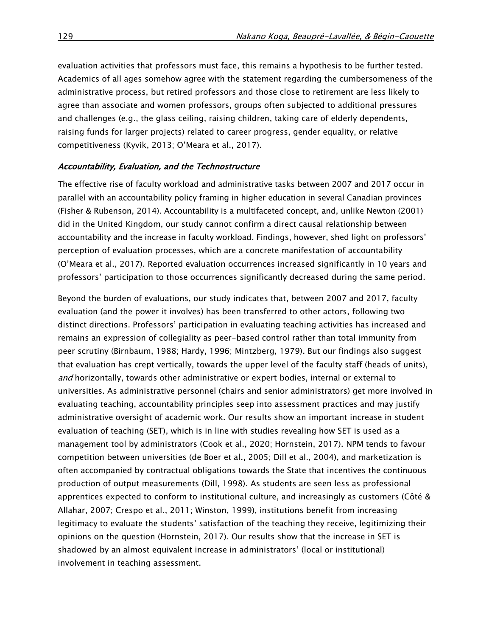evaluation activities that professors must face, this remains a hypothesis to be further tested. Academics of all ages somehow agree with the statement regarding the cumbersomeness of the administrative process, but retired professors and those close to retirement are less likely to agree than associate and women professors, groups often subjected to additional pressures and challenges (e.g., the glass ceiling, raising children, taking care of elderly dependents, raising funds for larger projects) related to career progress, gender equality, or relative competitiveness (Kyvik, 2013; O'Meara et al., 2017).

#### Accountability, Evaluation, and the Technostructure

The effective rise of faculty workload and administrative tasks between 2007 and 2017 occur in parallel with an accountability policy framing in higher education in several Canadian provinces (Fisher & Rubenson, 2014). Accountability is a multifaceted concept, and, unlike Newton (2001) did in the United Kingdom, our study cannot confirm a direct causal relationship between accountability and the increase in faculty workload. Findings, however, shed light on professors' perception of evaluation processes, which are a concrete manifestation of accountability (O'Meara et al., 2017). Reported evaluation occurrences increased significantly in 10 years and professors' participation to those occurrences significantly decreased during the same period.

Beyond the burden of evaluations, our study indicates that, between 2007 and 2017, faculty evaluation (and the power it involves) has been transferred to other actors, following two distinct directions. Professors' participation in evaluating teaching activities has increased and remains an expression of collegiality as peer-based control rather than total immunity from peer scrutiny (Birnbaum, 1988; Hardy, 1996; Mintzberg, 1979). But our findings also suggest that evaluation has crept vertically, towards the upper level of the faculty staff (heads of units), and horizontally, towards other administrative or expert bodies, internal or external to universities. As administrative personnel (chairs and senior administrators) get more involved in evaluating teaching, accountability principles seep into assessment practices and may justify administrative oversight of academic work. Our results show an important increase in student evaluation of teaching (SET), which is in line with studies revealing how SET is used as a management tool by administrators (Cook et al., 2020; Hornstein, 2017). NPM tends to favour competition between universities (de Boer et al., 2005; Dill et al., 2004), and marketization is often accompanied by contractual obligations towards the State that incentives the continuous production of output measurements (Dill, 1998). As students are seen less as professional apprentices expected to conform to institutional culture, and increasingly as customers (Côté & Allahar, 2007; Crespo et al., 2011; Winston, 1999), institutions benefit from increasing legitimacy to evaluate the students' satisfaction of the teaching they receive, legitimizing their opinions on the question (Hornstein, 2017). Our results show that the increase in SET is shadowed by an almost equivalent increase in administrators' (local or institutional) involvement in teaching assessment.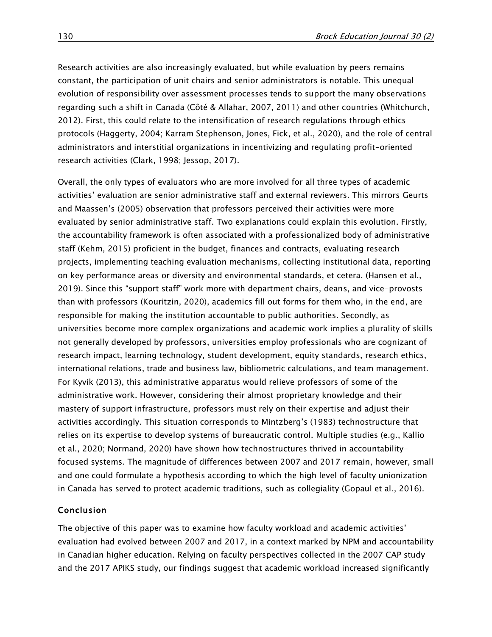Research activities are also increasingly evaluated, but while evaluation by peers remains constant, the participation of unit chairs and senior administrators is notable. This unequal evolution of responsibility over assessment processes tends to support the many observations regarding such a shift in Canada (Côté & Allahar, 2007, 2011) and other countries (Whitchurch, 2012). First, this could relate to the intensification of research regulations through ethics protocols (Haggerty, 2004; Karram Stephenson, Jones, Fick, et al., 2020), and the role of central administrators and interstitial organizations in incentivizing and regulating profit-oriented research activities (Clark, 1998; Jessop, 2017).

Overall, the only types of evaluators who are more involved for all three types of academic activities' evaluation are senior administrative staff and external reviewers. This mirrors Geurts and Maassen's (2005) observation that professors perceived their activities were more evaluated by senior administrative staff. Two explanations could explain this evolution. Firstly, the accountability framework is often associated with a professionalized body of administrative staff (Kehm, 2015) proficient in the budget, finances and contracts, evaluating research projects, implementing teaching evaluation mechanisms, collecting institutional data, reporting on key performance areas or diversity and environmental standards, et cetera. (Hansen et al., 2019). Since this "support staff" work more with department chairs, deans, and vice-provosts than with professors (Kouritzin, 2020), academics fill out forms for them who, in the end, are responsible for making the institution accountable to public authorities. Secondly, as universities become more complex organizations and academic work implies a plurality of skills not generally developed by professors, universities employ professionals who are cognizant of research impact, learning technology, student development, equity standards, research ethics, international relations, trade and business law, bibliometric calculations, and team management. For Kyvik (2013), this administrative apparatus would relieve professors of some of the administrative work. However, considering their almost proprietary knowledge and their mastery of support infrastructure, professors must rely on their expertise and adjust their activities accordingly. This situation corresponds to Mintzberg's (1983) technostructure that relies on its expertise to develop systems of bureaucratic control. Multiple studies (e.g., Kallio et al., 2020; Normand, 2020) have shown how technostructures thrived in accountabilityfocused systems. The magnitude of differences between 2007 and 2017 remain, however, small and one could formulate a hypothesis according to which the high level of faculty unionization in Canada has served to protect academic traditions, such as collegiality (Gopaul et al., 2016).

### Conclusion

The objective of this paper was to examine how faculty workload and academic activities' evaluation had evolved between 2007 and 2017, in a context marked by NPM and accountability in Canadian higher education. Relying on faculty perspectives collected in the 2007 CAP study and the 2017 APIKS study, our findings suggest that academic workload increased significantly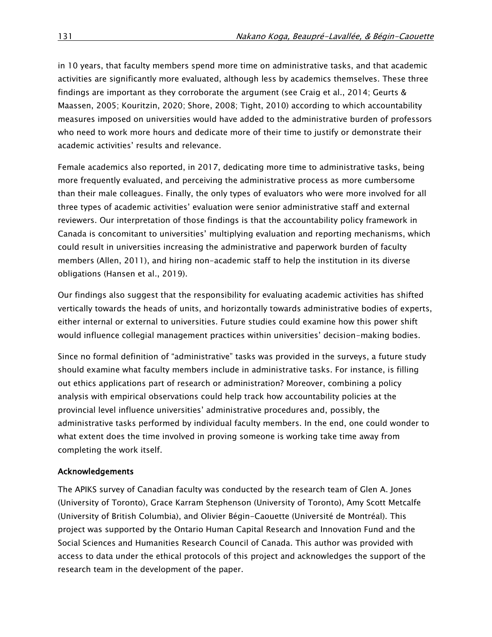in 10 years, that faculty members spend more time on administrative tasks, and that academic activities are significantly more evaluated, although less by academics themselves. These three findings are important as they corroborate the argument (see Craig et al., 2014; Geurts & Maassen, 2005; Kouritzin, 2020; Shore, 2008; Tight, 2010) according to which accountability measures imposed on universities would have added to the administrative burden of professors who need to work more hours and dedicate more of their time to justify or demonstrate their academic activities' results and relevance.

Female academics also reported, in 2017, dedicating more time to administrative tasks, being more frequently evaluated, and perceiving the administrative process as more cumbersome than their male colleagues. Finally, the only types of evaluators who were more involved for all three types of academic activities' evaluation were senior administrative staff and external reviewers. Our interpretation of those findings is that the accountability policy framework in Canada is concomitant to universities' multiplying evaluation and reporting mechanisms, which could result in universities increasing the administrative and paperwork burden of faculty members (Allen, 2011), and hiring non-academic staff to help the institution in its diverse obligations (Hansen et al., 2019).

Our findings also suggest that the responsibility for evaluating academic activities has shifted vertically towards the heads of units, and horizontally towards administrative bodies of experts, either internal or external to universities. Future studies could examine how this power shift would influence collegial management practices within universities' decision-making bodies.

Since no formal definition of "administrative" tasks was provided in the surveys, a future study should examine what faculty members include in administrative tasks. For instance, is filling out ethics applications part of research or administration? Moreover, combining a policy analysis with empirical observations could help track how accountability policies at the provincial level influence universities' administrative procedures and, possibly, the administrative tasks performed by individual faculty members. In the end, one could wonder to what extent does the time involved in proving someone is working take time away from completing the work itself.

## Acknowledgements

The APIKS survey of Canadian faculty was conducted by the research team of Glen A. Jones (University of Toronto), Grace Karram Stephenson (University of Toronto), Amy Scott Metcalfe (University of British Columbia), and Olivier Bégin-Caouette (Université de Montréal). This project was supported by the Ontario Human Capital Research and Innovation Fund and the Social Sciences and Humanities Research Council of Canada. This author was provided with access to data under the ethical protocols of this project and acknowledges the support of the research team in the development of the paper.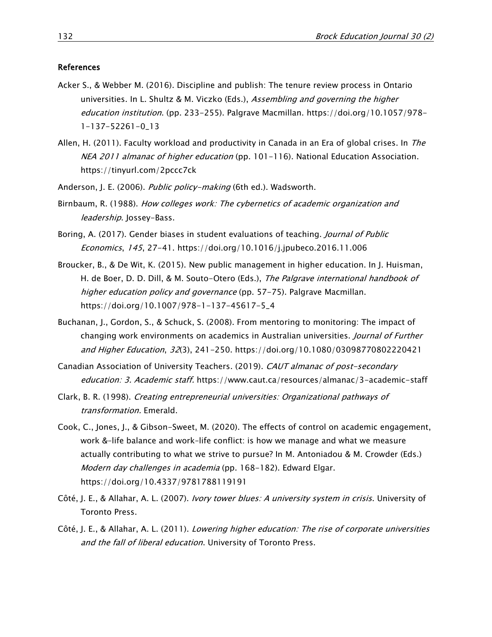#### References

- Acker S., & Webber M. (2016). Discipline and publish: The tenure review process in Ontario universities. In L. Shultz & M. Viczko (Eds.), Assembling and governing the higher education institution. (pp. 233-255). Palgrave Macmillan. [https://doi.org/10.1057/978-](https://doi.org/10.1057/978-1-137-52261-0_13) [1-137-52261-0\\_13](https://doi.org/10.1057/978-1-137-52261-0_13)
- Allen, H. (2011). Faculty workload and productivity in Canada in an Era of global crises. In The NEA 2011 almanac of higher education (pp. 101-116). National Education Association. <https://tinyurl.com/2pccc7ck>
- Anderson, J. E. (2006). Public policy-making (6th ed.). Wadsworth.
- Birnbaum, R. (1988). How colleges work: The cybernetics of academic organization and leadership. Jossey-Bass.
- Boring, A. (2017). Gender biases in student evaluations of teaching. Journal of Public Economics, 145, 27-41. <https://doi.org/10.1016/j.jpubeco.2016.11.006>
- Broucker, B., & De Wit, K. (2015). New public management in higher education. In J. Huisman, H. de Boer, D. D. Dill, & M. Souto-Otero (Eds.), The Palgrave international handbook of higher education policy and governance (pp. 57-75). Palgrave Macmillan. [https://doi.org/10.1007/978-1-137-45617-5\\_4](https://doi.org/10.1007/978-1-137-45617-5_4)
- Buchanan, J., Gordon, S., & Schuck, S. (2008). From mentoring to monitoring: The impact of changing work environments on academics in Australian universities. Journal of Further and Higher Education, 32(3), 241-250. <https://doi.org/10.1080/03098770802220421>
- Canadian Association of University Teachers. (2019). CAUT almanac of post-secondary education: 3. Academic staff. <https://www.caut.ca/resources/almanac/3-academic-staff>
- Clark, B. R. (1998). Creating entrepreneurial universities: Organizational pathways of transformation. Emerald.
- Cook, C., Jones, J., & Gibson-Sweet, M. (2020). The effects of control on academic engagement, work &–life balance and work–life conflict: is how we manage and what we measure actually contributing to what we strive to pursue? In M. Antoniadou & M. Crowder (Eds.) Modern day challenges in academia (pp. 168-182). Edward Elgar. <https://doi.org/10.4337/9781788119191>
- Côté, J. E., & Allahar, A. L. (2007). Ivory tower blues: A university system in crisis. University of Toronto Press.
- Côté, J. E., & Allahar, A. L. (2011). Lowering higher education: The rise of corporate universities and the fall of liberal education. University of Toronto Press.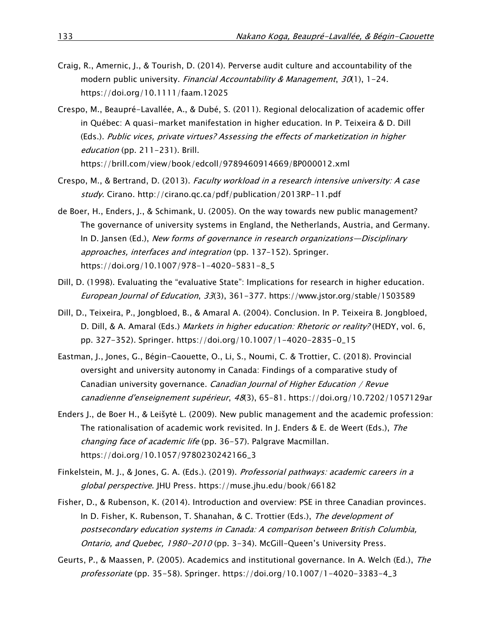- Craig, R., Amernic, J., & Tourish, D. (2014). Perverse audit culture and accountability of the modern public university. Financial Accountability & Management, 30(1), 1-24. <https://doi.org/10.1111/faam.12025>
- Crespo, M., Beaupré-Lavallée, A., & Dubé, S. (2011). Regional delocalization of academic offer in Québec: A quasi-market manifestation in higher education. In P. Teixeira & D. Dill (Eds.). Public vices, private virtues? Assessing the effects of marketization in higher education (pp. 211-231). Brill. <https://brill.com/view/book/edcoll/9789460914669/BP000012.xml>
- Crespo, M., & Bertrand, D. (2013). Faculty workload in a research intensive university: A case study. Cirano.<http://cirano.qc.ca/pdf/publication/2013RP-11.pdf>
- de Boer, H., Enders, J., & Schimank, U. (2005). On the way towards new public management? The governance of university systems in England, the Netherlands, Austria, and Germany. In D. Jansen (Ed.), New forms of governance in research organizations-Disciplinary approaches, interfaces and integration (pp. 137-152). Springer. [https://doi.org/10.1007/978-1-4020-5831-8\\_5](https://doi.org/10.1007/978-1-4020-5831-8_5)
- Dill, D. (1998). Evaluating the "evaluative State": Implications for research in higher education. European Journal of Education, 33(3), 361-377.<https://www.jstor.org/stable/1503589>
- Dill, D., Teixeira, P., Jongbloed, B., & Amaral A. (2004). Conclusion. In P. Teixeira B. Jongbloed, D. Dill, & A. Amaral (Eds.) Markets in higher education: Rhetoric or reality? (HEDY, vol. 6, pp. 327-352). Springer. [https://doi.org/10.1007/1-4020-2835-0\\_15](https://doi.org/10.1007/1-4020-2835-0_15)
- Eastman, J., Jones, G., Bégin-Caouette, O., Li, S., Noumi, C. & Trottier, C. (2018). Provincial oversight and university autonomy in Canada: Findings of a comparative study of Canadian university governance. Canadian Journal of Higher Education / Revue canadienne d'enseignement supérieur, 48(3), 65–81.<https://doi.org/10.7202/1057129ar>
- Enders J., de Boer H., & Leišytė L. (2009). New public management and the academic profession: The rationalisation of academic work revisited. In J. Enders & E. de Weert (Eds.), The changing face of academic life (pp. 36-57). Palgrave Macmillan. [https://doi.org/10.1057/9780230242166\\_3](https://doi.org/10.1057/9780230242166_3)
- Finkelstein, M. J., & Jones, G. A. (Eds.). (2019). Professorial pathways: academic careers in a global perspective. JHU Press.<https://muse.jhu.edu/book/66182>
- Fisher, D., & Rubenson, K. (2014). Introduction and overview: PSE in three Canadian provinces. In D. Fisher, K. Rubenson, T. Shanahan, & C. Trottier (Eds.), The development of postsecondary education systems in Canada: A comparison between British Columbia, Ontario, and Quebec, 1980-2010 (pp. 3-34). McGill-Queen's University Press.
- Geurts, P., & Maassen, P. (2005). Academics and institutional governance. In A. Welch (Ed.), The professoriate (pp. 35-58). Springer. [https://doi.org/10.1007/1-4020-3383-4\\_3](https://doi.org/10.1007/1-4020-3383-4_3)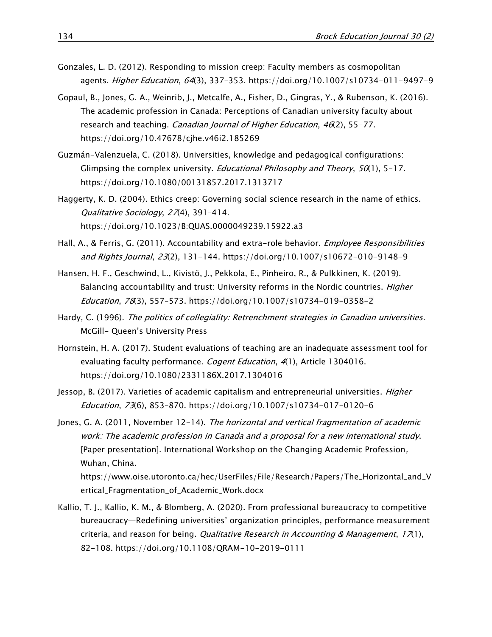- Gonzales, L. D. (2012). Responding to mission creep: Faculty members as cosmopolitan agents. *Higher Education, 64*(3), 337-353.<https://doi.org/10.1007/s10734-011-9497-9>
- Gopaul, B., Jones, G. A., Weinrib, J., Metcalfe, A., Fisher, D., Gingras, Y., & Rubenson, K. (2016). The academic profession in Canada: Perceptions of Canadian university faculty about research and teaching. *Canadian Journal of Higher Education*, 46(2), 55-77. <https://doi.org/10.47678/cjhe.v46i2.185269>
- Guzmán-Valenzuela, C. (2018). Universities, knowledge and pedagogical configurations: Glimpsing the complex university. *Educational Philosophy and Theory*,  $50(1)$ ,  $5-17$ . <https://doi.org/10.1080/00131857.2017.1313717>
- Haggerty, K. D. (2004). Ethics creep: Governing social science research in the name of ethics. Qualitative Sociology, 27(4), 391-414. <https://doi.org/10.1023/B:QUAS.0000049239.15922.a3>
- Hall, A., & Ferris, G. (2011). Accountability and extra-role behavior. *Employee Responsibilities* and Rights Journal, 23(2), 131-144. <https://doi.org/10.1007/s10672-010-9148-9>
- Hansen, H. F., Geschwind, L., Kivistö, J., Pekkola, E., Pinheiro, R., & Pulkkinen, K. (2019). Balancing accountability and trust: University reforms in the Nordic countries. Higher Education, 78(3), 557–573.<https://doi.org/10.1007/s10734-019-0358-2>
- Hardy, C. (1996). The politics of collegiality: Retrenchment strategies in Canadian universities. McGill- Queen's University Press
- Hornstein, H. A. (2017). Student evaluations of teaching are an inadequate assessment tool for evaluating faculty performance. Cogent Education, 4(1), Article 1304016. <https://doi.org/10.1080/2331186X.2017.1304016>
- Jessop, B. (2017). Varieties of academic capitalism and entrepreneurial universities. *Higher* Education, 73(6), 853–870.<https://doi.org/10.1007/s10734-017-0120-6>
- Jones, G. A. (2011, November 12-14). The horizontal and vertical fragmentation of academic work: The academic profession in Canada and a proposal for a new international study. [Paper presentation]. International Workshop on the Changing Academic Profession, Wuhan, China.

[https://www.oise.utoronto.ca/hec/UserFiles/File/Research/Papers/The\\_Horizontal\\_and\\_V](https://www.oise.utoronto.ca/hec/UserFiles/File/Research/Papers/The_Horizontal_and_Vertical_Fragmentation_of_Academic_Work.docx) [ertical\\_Fragmentation\\_of\\_Academic\\_Work.docx](https://www.oise.utoronto.ca/hec/UserFiles/File/Research/Papers/The_Horizontal_and_Vertical_Fragmentation_of_Academic_Work.docx)

[Kallio, T. J.,](https://www.emerald.com/insight/search?q=Tomi%20J.%20Kallio) [Kallio, K. M.,](https://www.emerald.com/insight/search?q=Kirsi-Mari%20Kallio) & [Blomberg, A.](https://www.emerald.com/insight/search?q=Annika%20Blomberg) (2020). From professional bureaucracy to competitive bureaucracy—Redefining universities' organization principles, performance measurement criteria, and reason for being. *[Qualitative Research in Accounting & Management](https://www.emerald.com/insight/publication/issn/1176-6093)*,  $17(1)$ , 82-108.<https://doi.org/10.1108/QRAM-10-2019-0111>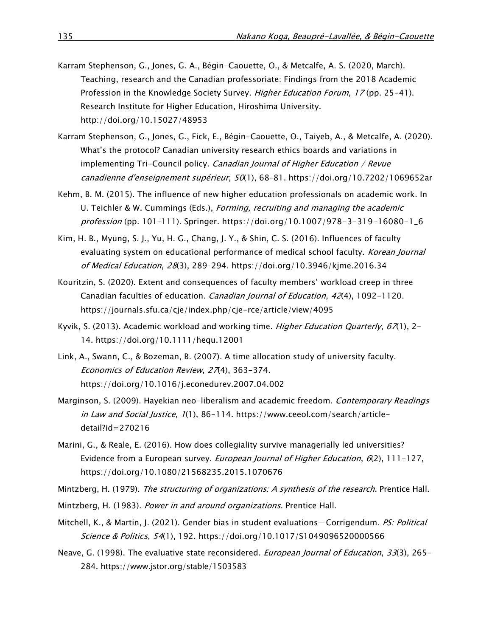- Karram Stephenson, G., Jones, G. A., Bégin-Caouette, O., & Metcalfe, A. S. (2020, March). Teaching, research and the Canadian professoriate: Findings from the 2018 Academic Profession in the Knowledge Society Survey. Higher Education Forum, 17 (pp. 25-41). Research Institute for Higher Education, Hiroshima University. <http://doi.org/10.15027/48953>
- Karram Stephenson, G., Jones, G., Fick, E., Bégin-Caouette, O., Taiyeb, A., & Metcalfe, A. (2020). What's the protocol? Canadian university research ethics boards and variations in implementing Tri-Council policy. Canadian Journal of Higher Education / Revue canadienne d'enseignement supérieur, 50(1), 68–81.<https://doi.org/10.7202/1069652ar>
- Kehm, B. M. (2015). The influence of new higher education professionals on academic work. In U. Teichler & W. Cummings (Eds.), Forming, recruiting and managing the academic profession (pp. 101–111). Springer. [https://doi.org/10.1007/978-3-319-16080-1\\_6](https://doi.org/10.1007/978-3-319-16080-1_6)
- Kim, H. B., Myung, S. J., Yu, H. G., Chang, J. Y., & Shin, C. S. (2016). Influences of faculty evaluating system on educational performance of medical school faculty. Korean Journal of Medical Education, 28(3), 289–294.<https://doi.org/10.3946/kjme.2016.34>
- Kouritzin, S. (2020). Extent and consequences of faculty members' workload creep in three Canadian faculties of education. Canadian Journal of Education, 42(4), 1092-1120. <https://journals.sfu.ca/cje/index.php/cje-rce/article/view/4095>
- Kyvik, S. (2013). Academic workload and working time. Higher Education Quarterly,  $67(1)$ , 2-14.<https://doi.org/10.1111/hequ.12001>
- Link, A., Swann, C., & Bozeman, B. (2007). A time allocation study of university faculty. Economics of Education Review, 27(4), 363-374. <https://doi.org/10.1016/j.econedurev.2007.04.002>
- Marginson, S. (2009). Hayekian neo-liberalism and academic freedom. Contemporary Readings in Law and Social Justice, 1(1), 86-114. [https://www.ceeol.com/search/article](https://www.ceeol.com/search/article-detail?id=270216)[detail?id=270216](https://www.ceeol.com/search/article-detail?id=270216)
- Marini, G., & Reale, E. (2016). How does collegiality survive managerially led universities? Evidence from a European survey. *European Journal of Higher Education*,  $6(2)$ , 111-127, <https://doi.org/10.1080/21568235.2015.1070676>
- Mintzberg, H. (1979). The structuring of organizations: A synthesis of the research. Prentice Hall.
- Mintzberg, H. (1983). Power in and around organizations. Prentice Hall.
- Mitchell, K., & Martin, J. (2021). Gender bias in student evaluations—Corrigendum. PS: Political Science & Politics, 54(1), 192.<https://doi.org/10.1017/S1049096520000566>
- Neave, G. (1998). The evaluative state reconsidered. *European Journal of Education*, 33(3), 265-284. <https://www.jstor.org/stable/1503583>